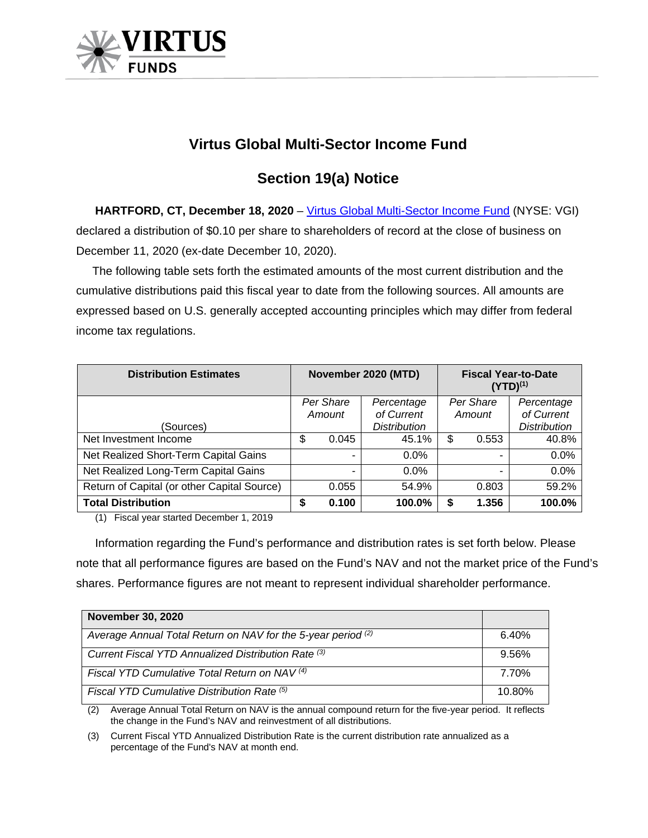

## **Virtus Global Multi-Sector Income Fund**

## **Section 19(a) Notice**

**HARTFORD, CT, December 18, 2020** – [Virtus Global Multi-Sector Income Fund](https://www.virtus.com/products/virtus-global-multi-sector-income-fund#shareclass.N/period.quarterly) (NYSE: VGI) declared a distribution of \$0.10 per share to shareholders of record at the close of business on December 11, 2020 (ex-date December 10, 2020).

 The following table sets forth the estimated amounts of the most current distribution and the cumulative distributions paid this fiscal year to date from the following sources. All amounts are expressed based on U.S. generally accepted accounting principles which may differ from federal income tax regulations.

| <b>Distribution Estimates</b>               | November 2020 (MTD) |       |                     | <b>Fiscal Year-to-Date</b><br>$(YTD)^{(1)}$ |       |                     |
|---------------------------------------------|---------------------|-------|---------------------|---------------------------------------------|-------|---------------------|
|                                             | Per Share           |       | Percentage          | Per Share                                   |       | Percentage          |
|                                             | Amount              |       | of Current          | Amount                                      |       | of Current          |
| (Sources)                                   |                     |       | <b>Distribution</b> |                                             |       | <b>Distribution</b> |
| Net Investment Income                       | S                   | 0.045 | 45.1%               | \$                                          | 0.553 | 40.8%               |
| Net Realized Short-Term Capital Gains       |                     |       | 0.0%                |                                             |       | 0.0%                |
| Net Realized Long-Term Capital Gains        |                     |       | $0.0\%$             |                                             |       | 0.0%                |
| Return of Capital (or other Capital Source) |                     | 0.055 | 54.9%               |                                             | 0.803 | 59.2%               |
| <b>Total Distribution</b>                   |                     | 0.100 | 100.0%              |                                             | 1.356 | 100.0%              |

(1) Fiscal year started December 1, 2019

Information regarding the Fund's performance and distribution rates is set forth below. Please note that all performance figures are based on the Fund's NAV and not the market price of the Fund's shares. Performance figures are not meant to represent individual shareholder performance.

| <b>November 30, 2020</b>                                     |        |
|--------------------------------------------------------------|--------|
| Average Annual Total Return on NAV for the 5-year period (2) | 6.40%  |
| Current Fiscal YTD Annualized Distribution Rate (3)          | 9.56%  |
| Fiscal YTD Cumulative Total Return on NAV <sup>(4)</sup>     | 7.70%  |
| Fiscal YTD Cumulative Distribution Rate (5)                  | 10.80% |

(2) Average Annual Total Return on NAV is the annual compound return for the five-year period. It reflects the change in the Fund's NAV and reinvestment of all distributions.

(3) Current Fiscal YTD Annualized Distribution Rate is the current distribution rate annualized as a percentage of the Fund's NAV at month end.